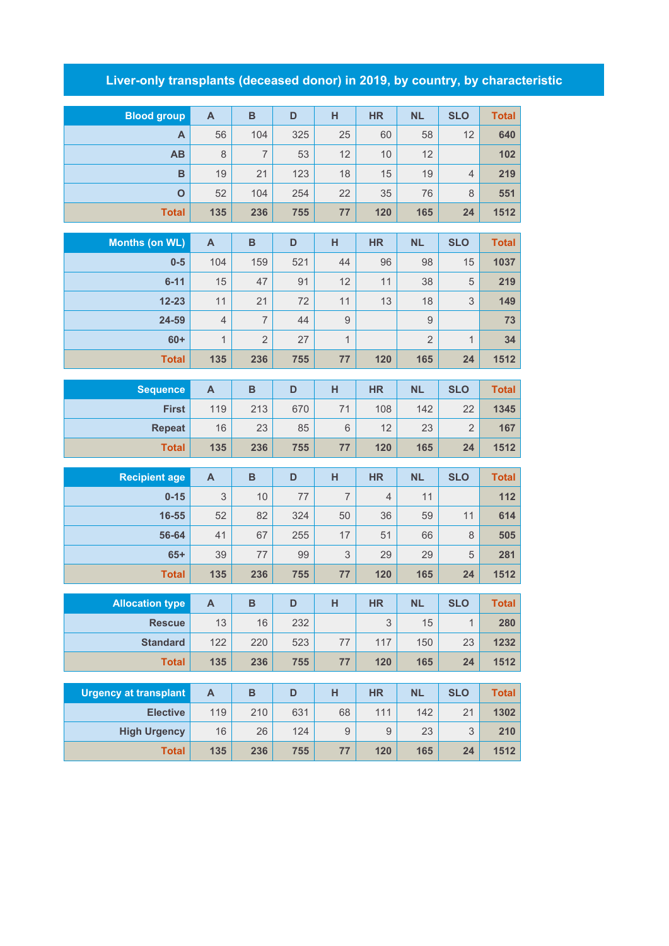## **Liver-only transplants (deceased donor) in 2019, by country, by characteristic**

| <b>Blood group</b>                     | $\mathsf{A}$   | $\, {\bf B}$   | D          | н                | <b>HR</b>                 | <b>NL</b>      | <b>SLO</b>     | <b>Total</b> |
|----------------------------------------|----------------|----------------|------------|------------------|---------------------------|----------------|----------------|--------------|
| A                                      | 56             | 104            | 325        | 25               | 60                        | 58             | 12             | 640          |
| AB                                     | $\,8\,$        | $\overline{7}$ | 53         | 12               | 10                        | 12             |                | 102          |
| B                                      | 19             | 21             | 123        | 18               | 15                        | 19             | $\overline{4}$ | 219          |
| $\mathbf{o}$                           | 52             | 104            | 254        | 22               | 35                        | 76             | 8              | 551          |
| <b>Total</b>                           | 135            | 236            | 755        | 77               | 120                       | 165            | 24             | 1512         |
|                                        |                |                |            |                  |                           |                |                |              |
| <b>Months (on WL)</b>                  | $\mathsf{A}$   | $\, {\bf B}$   | D          | H                | <b>HR</b>                 | <b>NL</b>      | <b>SLO</b>     | <b>Total</b> |
| $0-5$                                  | 104            | 159            | 521        | 44               | 96                        | 98             | 15             | 1037         |
| $6 - 11$                               | 15             | 47             | 91         | 12               | 11                        | 38             | 5              | 219          |
| $12 - 23$                              | 11             | 21             | 72         | 11               | 13                        | 18             | 3              | 149          |
| 24-59                                  | $\overline{4}$ | $\overline{7}$ | 44         | $\mathsf{9}$     |                           | $\mathsf{9}$   |                | 73           |
| $60+$                                  | $\mathbf{1}$   | $\overline{2}$ | 27         | $\mathbf{1}$     |                           | $\overline{2}$ | $\mathbf 1$    | 34           |
| <b>Total</b>                           | 135            | 236            | 755        | 77               | 120                       | 165            | 24             | 1512         |
| <b>Sequence</b>                        | $\mathsf{A}$   | $\, {\bf B}$   | D          | H                | <b>HR</b>                 | <b>NL</b>      | <b>SLO</b>     | <b>Total</b> |
| <b>First</b>                           | 119            | 213            | 670        | 71               | 108                       | 142            | 22             | 1345         |
| <b>Repeat</b>                          | 16             | 23             | 85         | $6\,$            | 12                        | 23             | $\overline{2}$ | 167          |
| <b>Total</b>                           | 135            | 236            | 755        | 77               | 120                       | 165            | 24             | 1512         |
| <b>Recipient age</b>                   | $\mathsf{A}$   | $\, {\bf B}$   | D          | H                | <b>HR</b>                 | <b>NL</b>      | <b>SLO</b>     | <b>Total</b> |
| $0 - 15$                               | 3              | 10             | 77         | $\overline{7}$   | $\overline{4}$            | 11             |                | 112          |
| 16-55                                  | 52             | 82             | 324        | 50               | 36                        | 59             | 11             | 614          |
| 56-64                                  | 41             | 67             | 255        | 17               | 51                        | 66             | 8              | 505          |
| $65+$                                  | 39             | 77             | 99         | 3                | 29                        | 29             | 5              | 281          |
| <b>Total</b>                           | 135            | 236            | 755        | 77               | 120                       | 165            | 24             | 1512         |
|                                        |                |                |            |                  |                           |                |                |              |
| <b>Allocation type</b>                 | A              | B              | D          | H                | <b>HR</b>                 | <b>NL</b>      | <b>SLO</b>     | Total        |
| <b>Rescue</b>                          | 13             | 16             | 232        |                  | $\ensuremath{\mathsf{3}}$ | 15             | $\mathbf{1}$   | 280          |
| <b>Standard</b>                        | 122            | 220            | 523        | $77 \,$          | 117                       | 150            | 23             | 1232         |
| <b>Total</b>                           | 135            | 236            | 755        | 77               | 120                       | 165            | 24             | 1512         |
|                                        |                |                |            |                  |                           |                |                |              |
|                                        |                |                |            |                  |                           |                |                |              |
| <b>Urgency at transplant</b>           | $\mathsf{A}$   | $\, {\bf B}$   | D          | H                | <b>HR</b>                 | <b>NL</b>      | <b>SLO</b>     | <b>Total</b> |
| <b>Elective</b><br><b>High Urgency</b> | 119<br>16      | 210<br>26      | 631<br>124 | 68<br>$\hbox{9}$ | 111<br>$\hbox{9}$         | 142<br>23      | 21<br>3        | 1302<br>210  |